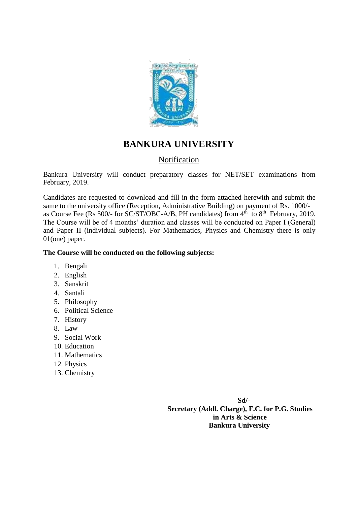

## **BANKURA UNIVERSITY**

### **Notification**

Bankura University will conduct preparatory classes for NET/SET examinations from February, 2019.

Candidates are requested to download and fill in the form attached herewith and submit the same to the university office (Reception, Administrative Building) on payment of Rs. 1000/ as Course Fee (Rs 500/- for SC/ST/OBC-A/B, PH candidates) from  $4<sup>th</sup>$  to  $8<sup>th</sup>$  February, 2019. The Course will be of 4 months' duration and classes will be conducted on Paper I (General) and Paper II (individual subjects). For Mathematics, Physics and Chemistry there is only 01(one) paper.

#### **The Course will be conducted on the following subjects:**

- 1. Bengali
- 2. English
- 3. Sanskrit
- 4. Santali
- 5. Philosophy
- 6. Political Science
- 7. History
- 8. Law
- 9. Social Work
- 10. Education
- 11. Mathematics
- 12. Physics
- 13. Chemistry

**Sd/- Secretary (Addl. Charge), F.C. for P.G. Studies in Arts & Science Bankura University**